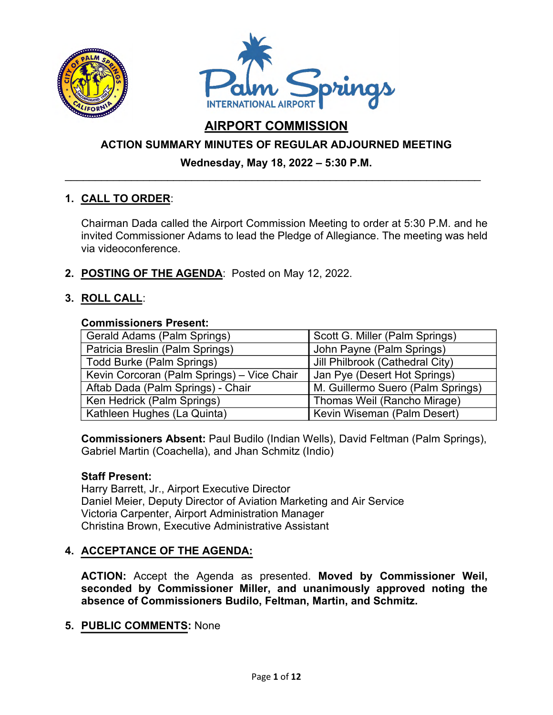



# **AIRPORT COMMISSION**

## **ACTION SUMMARY MINUTES OF REGULAR ADJOURNED MEETING**

### **Wednesday, May 18, 2022 – 5:30 P.M.**  \_\_\_\_\_\_\_\_\_\_\_\_\_\_\_\_\_\_\_\_\_\_\_\_\_\_\_\_\_\_\_\_\_\_\_\_\_\_\_\_\_\_\_\_\_\_\_\_\_\_\_\_\_\_\_\_\_\_\_\_\_\_\_\_\_\_\_\_\_

## **1. CALL TO ORDER**:

Chairman Dada called the Airport Commission Meeting to order at 5:30 P.M. and he invited Commissioner Adams to lead the Pledge of Allegiance. The meeting was held via videoconference.

**2. POSTING OF THE AGENDA**: Posted on May 12, 2022.

## **3. ROLL CALL**:

#### **Commissioners Present:**

| Gerald Adams (Palm Springs)                | Scott G. Miller (Palm Springs)    |
|--------------------------------------------|-----------------------------------|
| Patricia Breslin (Palm Springs)            | John Payne (Palm Springs)         |
| <b>Todd Burke (Palm Springs)</b>           | Jill Philbrook (Cathedral City)   |
| Kevin Corcoran (Palm Springs) - Vice Chair | Jan Pye (Desert Hot Springs)      |
| Aftab Dada (Palm Springs) - Chair          | M. Guillermo Suero (Palm Springs) |
| Ken Hedrick (Palm Springs)                 | Thomas Weil (Rancho Mirage)       |
| Kathleen Hughes (La Quinta)                | Kevin Wiseman (Palm Desert)       |

**Commissioners Absent:** Paul Budilo (Indian Wells), David Feltman (Palm Springs), Gabriel Martin (Coachella), and Jhan Schmitz (Indio)

#### **Staff Present:**

Harry Barrett, Jr., Airport Executive Director Daniel Meier, Deputy Director of Aviation Marketing and Air Service Victoria Carpenter, Airport Administration Manager Christina Brown, Executive Administrative Assistant

#### **4. ACCEPTANCE OF THE AGENDA:**

**ACTION:** Accept the Agenda as presented. **Moved by Commissioner Weil, seconded by Commissioner Miller, and unanimously approved noting the absence of Commissioners Budilo, Feltman, Martin, and Schmitz.**

#### **5. PUBLIC COMMENTS:** None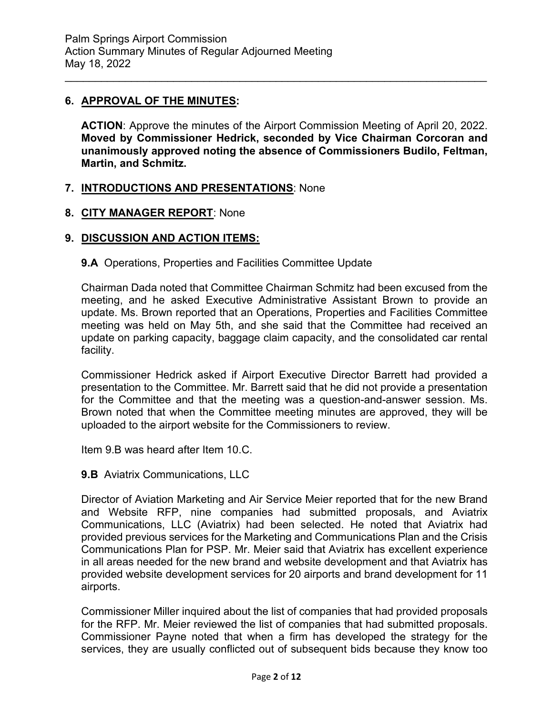#### **6. APPROVAL OF THE MINUTES:**

**ACTION**: Approve the minutes of the Airport Commission Meeting of April 20, 2022. **Moved by Commissioner Hedrick, seconded by Vice Chairman Corcoran and unanimously approved noting the absence of Commissioners Budilo, Feltman, Martin, and Schmitz.**

\_\_\_\_\_\_\_\_\_\_\_\_\_\_\_\_\_\_\_\_\_\_\_\_\_\_\_\_\_\_\_\_\_\_\_\_\_\_\_\_\_\_\_\_\_\_\_\_\_\_\_\_\_\_\_\_\_\_\_\_\_\_\_\_\_\_\_\_\_\_

#### **7. INTRODUCTIONS AND PRESENTATIONS**: None

#### **8. CITY MANAGER REPORT**: None

#### **9. DISCUSSION AND ACTION ITEMS:**

#### **9.A** Operations, Properties and Facilities Committee Update

Chairman Dada noted that Committee Chairman Schmitz had been excused from the meeting, and he asked Executive Administrative Assistant Brown to provide an update. Ms. Brown reported that an Operations, Properties and Facilities Committee meeting was held on May 5th, and she said that the Committee had received an update on parking capacity, baggage claim capacity, and the consolidated car rental facility.

Commissioner Hedrick asked if Airport Executive Director Barrett had provided a presentation to the Committee. Mr. Barrett said that he did not provide a presentation for the Committee and that the meeting was a question-and-answer session. Ms. Brown noted that when the Committee meeting minutes are approved, they will be uploaded to the airport website for the Commissioners to review.

Item 9.B was heard after Item 10.C.

**9.B** Aviatrix Communications, LLC

Director of Aviation Marketing and Air Service Meier reported that for the new Brand and Website RFP, nine companies had submitted proposals, and Aviatrix Communications, LLC (Aviatrix) had been selected. He noted that Aviatrix had provided previous services for the Marketing and Communications Plan and the Crisis Communications Plan for PSP. Mr. Meier said that Aviatrix has excellent experience in all areas needed for the new brand and website development and that Aviatrix has provided website development services for 20 airports and brand development for 11 airports.

Commissioner Miller inquired about the list of companies that had provided proposals for the RFP. Mr. Meier reviewed the list of companies that had submitted proposals. Commissioner Payne noted that when a firm has developed the strategy for the services, they are usually conflicted out of subsequent bids because they know too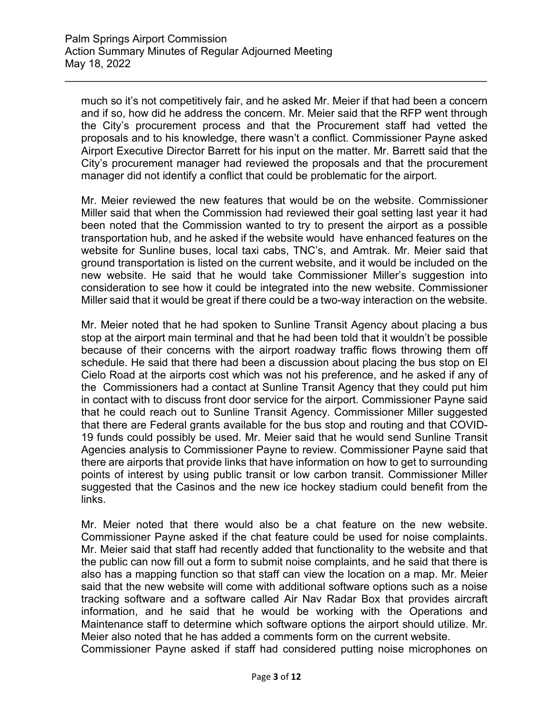much so it's not competitively fair, and he asked Mr. Meier if that had been a concern and if so, how did he address the concern. Mr. Meier said that the RFP went through the City's procurement process and that the Procurement staff had vetted the proposals and to his knowledge, there wasn't a conflict. Commissioner Payne asked Airport Executive Director Barrett for his input on the matter. Mr. Barrett said that the City's procurement manager had reviewed the proposals and that the procurement manager did not identify a conflict that could be problematic for the airport.

\_\_\_\_\_\_\_\_\_\_\_\_\_\_\_\_\_\_\_\_\_\_\_\_\_\_\_\_\_\_\_\_\_\_\_\_\_\_\_\_\_\_\_\_\_\_\_\_\_\_\_\_\_\_\_\_\_\_\_\_\_\_\_\_\_\_\_\_\_\_

Mr. Meier reviewed the new features that would be on the website. Commissioner Miller said that when the Commission had reviewed their goal setting last year it had been noted that the Commission wanted to try to present the airport as a possible transportation hub, and he asked if the website would have enhanced features on the website for Sunline buses, local taxi cabs, TNC's, and Amtrak. Mr. Meier said that ground transportation is listed on the current website, and it would be included on the new website. He said that he would take Commissioner Miller's suggestion into consideration to see how it could be integrated into the new website. Commissioner Miller said that it would be great if there could be a two-way interaction on the website.

Mr. Meier noted that he had spoken to Sunline Transit Agency about placing a bus stop at the airport main terminal and that he had been told that it wouldn't be possible because of their concerns with the airport roadway traffic flows throwing them off schedule. He said that there had been a discussion about placing the bus stop on El Cielo Road at the airports cost which was not his preference, and he asked if any of the Commissioners had a contact at Sunline Transit Agency that they could put him in contact with to discuss front door service for the airport. Commissioner Payne said that he could reach out to Sunline Transit Agency. Commissioner Miller suggested that there are Federal grants available for the bus stop and routing and that COVID-19 funds could possibly be used. Mr. Meier said that he would send Sunline Transit Agencies analysis to Commissioner Payne to review. Commissioner Payne said that there are airports that provide links that have information on how to get to surrounding points of interest by using public transit or low carbon transit. Commissioner Miller suggested that the Casinos and the new ice hockey stadium could benefit from the links.

Mr. Meier noted that there would also be a chat feature on the new website. Commissioner Payne asked if the chat feature could be used for noise complaints. Mr. Meier said that staff had recently added that functionality to the website and that the public can now fill out a form to submit noise complaints, and he said that there is also has a mapping function so that staff can view the location on a map. Mr. Meier said that the new website will come with additional software options such as a noise tracking software and a software called Air Nav Radar Box that provides aircraft information, and he said that he would be working with the Operations and Maintenance staff to determine which software options the airport should utilize. Mr. Meier also noted that he has added a comments form on the current website.

Commissioner Payne asked if staff had considered putting noise microphones on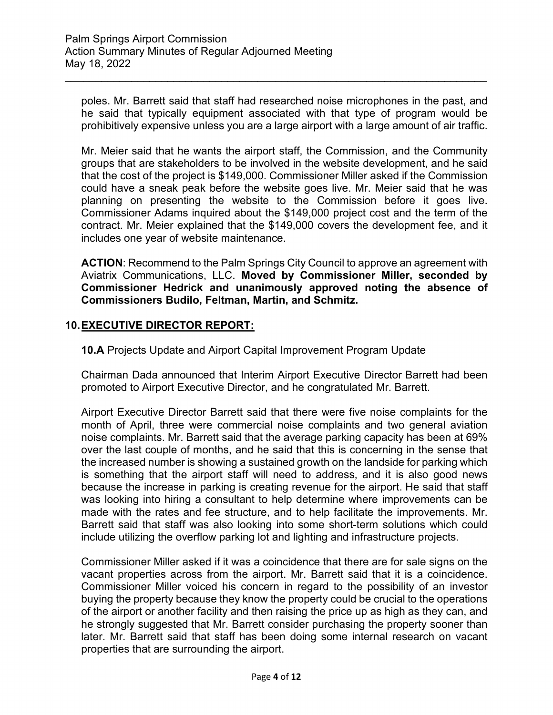poles. Mr. Barrett said that staff had researched noise microphones in the past, and he said that typically equipment associated with that type of program would be prohibitively expensive unless you are a large airport with a large amount of air traffic.

\_\_\_\_\_\_\_\_\_\_\_\_\_\_\_\_\_\_\_\_\_\_\_\_\_\_\_\_\_\_\_\_\_\_\_\_\_\_\_\_\_\_\_\_\_\_\_\_\_\_\_\_\_\_\_\_\_\_\_\_\_\_\_\_\_\_\_\_\_\_

Mr. Meier said that he wants the airport staff, the Commission, and the Community groups that are stakeholders to be involved in the website development, and he said that the cost of the project is \$149,000. Commissioner Miller asked if the Commission could have a sneak peak before the website goes live. Mr. Meier said that he was planning on presenting the website to the Commission before it goes live. Commissioner Adams inquired about the \$149,000 project cost and the term of the contract. Mr. Meier explained that the \$149,000 covers the development fee, and it includes one year of website maintenance.

**ACTION**: Recommend to the Palm Springs City Council to approve an agreement with Aviatrix Communications, LLC. **Moved by Commissioner Miller, seconded by Commissioner Hedrick and unanimously approved noting the absence of Commissioners Budilo, Feltman, Martin, and Schmitz.**

### **10.EXECUTIVE DIRECTOR REPORT:**

**10.A** Projects Update and Airport Capital Improvement Program Update

Chairman Dada announced that Interim Airport Executive Director Barrett had been promoted to Airport Executive Director, and he congratulated Mr. Barrett.

Airport Executive Director Barrett said that there were five noise complaints for the month of April, three were commercial noise complaints and two general aviation noise complaints. Mr. Barrett said that the average parking capacity has been at 69% over the last couple of months, and he said that this is concerning in the sense that the increased number is showing a sustained growth on the landside for parking which is something that the airport staff will need to address, and it is also good news because the increase in parking is creating revenue for the airport. He said that staff was looking into hiring a consultant to help determine where improvements can be made with the rates and fee structure, and to help facilitate the improvements. Mr. Barrett said that staff was also looking into some short-term solutions which could include utilizing the overflow parking lot and lighting and infrastructure projects.

Commissioner Miller asked if it was a coincidence that there are for sale signs on the vacant properties across from the airport. Mr. Barrett said that it is a coincidence. Commissioner Miller voiced his concern in regard to the possibility of an investor buying the property because they know the property could be crucial to the operations of the airport or another facility and then raising the price up as high as they can, and he strongly suggested that Mr. Barrett consider purchasing the property sooner than later. Mr. Barrett said that staff has been doing some internal research on vacant properties that are surrounding the airport.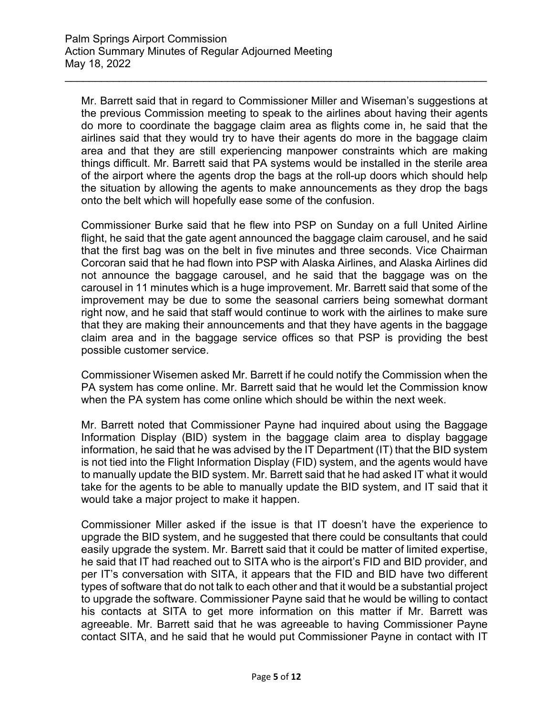Mr. Barrett said that in regard to Commissioner Miller and Wiseman's suggestions at the previous Commission meeting to speak to the airlines about having their agents do more to coordinate the baggage claim area as flights come in, he said that the airlines said that they would try to have their agents do more in the baggage claim area and that they are still experiencing manpower constraints which are making things difficult. Mr. Barrett said that PA systems would be installed in the sterile area of the airport where the agents drop the bags at the roll-up doors which should help the situation by allowing the agents to make announcements as they drop the bags onto the belt which will hopefully ease some of the confusion.

\_\_\_\_\_\_\_\_\_\_\_\_\_\_\_\_\_\_\_\_\_\_\_\_\_\_\_\_\_\_\_\_\_\_\_\_\_\_\_\_\_\_\_\_\_\_\_\_\_\_\_\_\_\_\_\_\_\_\_\_\_\_\_\_\_\_\_\_\_\_

Commissioner Burke said that he flew into PSP on Sunday on a full United Airline flight, he said that the gate agent announced the baggage claim carousel, and he said that the first bag was on the belt in five minutes and three seconds. Vice Chairman Corcoran said that he had flown into PSP with Alaska Airlines, and Alaska Airlines did not announce the baggage carousel, and he said that the baggage was on the carousel in 11 minutes which is a huge improvement. Mr. Barrett said that some of the improvement may be due to some the seasonal carriers being somewhat dormant right now, and he said that staff would continue to work with the airlines to make sure that they are making their announcements and that they have agents in the baggage claim area and in the baggage service offices so that PSP is providing the best possible customer service.

Commissioner Wisemen asked Mr. Barrett if he could notify the Commission when the PA system has come online. Mr. Barrett said that he would let the Commission know when the PA system has come online which should be within the next week.

Mr. Barrett noted that Commissioner Payne had inquired about using the Baggage Information Display (BID) system in the baggage claim area to display baggage information, he said that he was advised by the IT Department (IT) that the BID system is not tied into the Flight Information Display (FID) system, and the agents would have to manually update the BID system. Mr. Barrett said that he had asked IT what it would take for the agents to be able to manually update the BID system, and IT said that it would take a major project to make it happen.

Commissioner Miller asked if the issue is that IT doesn't have the experience to upgrade the BID system, and he suggested that there could be consultants that could easily upgrade the system. Mr. Barrett said that it could be matter of limited expertise, he said that IT had reached out to SITA who is the airport's FID and BID provider, and per IT's conversation with SITA, it appears that the FID and BID have two different types of software that do not talk to each other and that it would be a substantial project to upgrade the software. Commissioner Payne said that he would be willing to contact his contacts at SITA to get more information on this matter if Mr. Barrett was agreeable. Mr. Barrett said that he was agreeable to having Commissioner Payne contact SITA, and he said that he would put Commissioner Payne in contact with IT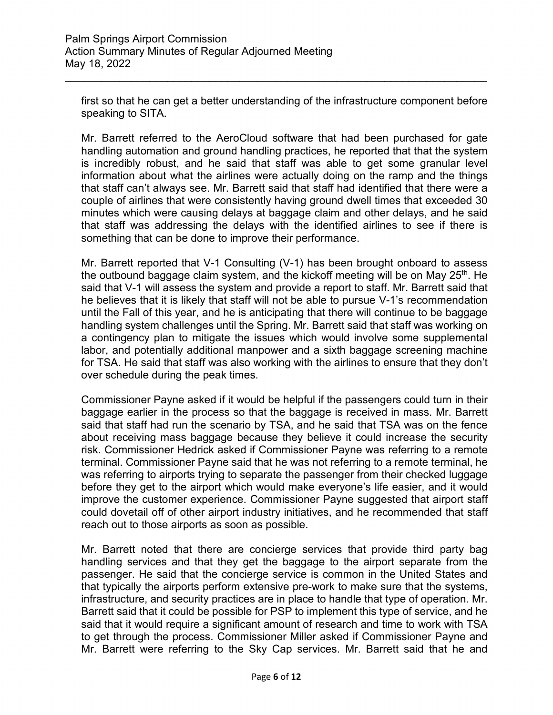first so that he can get a better understanding of the infrastructure component before speaking to SITA.

\_\_\_\_\_\_\_\_\_\_\_\_\_\_\_\_\_\_\_\_\_\_\_\_\_\_\_\_\_\_\_\_\_\_\_\_\_\_\_\_\_\_\_\_\_\_\_\_\_\_\_\_\_\_\_\_\_\_\_\_\_\_\_\_\_\_\_\_\_\_

Mr. Barrett referred to the AeroCloud software that had been purchased for gate handling automation and ground handling practices, he reported that that the system is incredibly robust, and he said that staff was able to get some granular level information about what the airlines were actually doing on the ramp and the things that staff can't always see. Mr. Barrett said that staff had identified that there were a couple of airlines that were consistently having ground dwell times that exceeded 30 minutes which were causing delays at baggage claim and other delays, and he said that staff was addressing the delays with the identified airlines to see if there is something that can be done to improve their performance.

Mr. Barrett reported that V-1 Consulting (V-1) has been brought onboard to assess the outbound baggage claim system, and the kickoff meeting will be on May 25<sup>th</sup>. He said that V-1 will assess the system and provide a report to staff. Mr. Barrett said that he believes that it is likely that staff will not be able to pursue V-1's recommendation until the Fall of this year, and he is anticipating that there will continue to be baggage handling system challenges until the Spring. Mr. Barrett said that staff was working on a contingency plan to mitigate the issues which would involve some supplemental labor, and potentially additional manpower and a sixth baggage screening machine for TSA. He said that staff was also working with the airlines to ensure that they don't over schedule during the peak times.

Commissioner Payne asked if it would be helpful if the passengers could turn in their baggage earlier in the process so that the baggage is received in mass. Mr. Barrett said that staff had run the scenario by TSA, and he said that TSA was on the fence about receiving mass baggage because they believe it could increase the security risk. Commissioner Hedrick asked if Commissioner Payne was referring to a remote terminal. Commissioner Payne said that he was not referring to a remote terminal, he was referring to airports trying to separate the passenger from their checked luggage before they get to the airport which would make everyone's life easier, and it would improve the customer experience. Commissioner Payne suggested that airport staff could dovetail off of other airport industry initiatives, and he recommended that staff reach out to those airports as soon as possible.

Mr. Barrett noted that there are concierge services that provide third party bag handling services and that they get the baggage to the airport separate from the passenger. He said that the concierge service is common in the United States and that typically the airports perform extensive pre-work to make sure that the systems, infrastructure, and security practices are in place to handle that type of operation. Mr. Barrett said that it could be possible for PSP to implement this type of service, and he said that it would require a significant amount of research and time to work with TSA to get through the process. Commissioner Miller asked if Commissioner Payne and Mr. Barrett were referring to the Sky Cap services. Mr. Barrett said that he and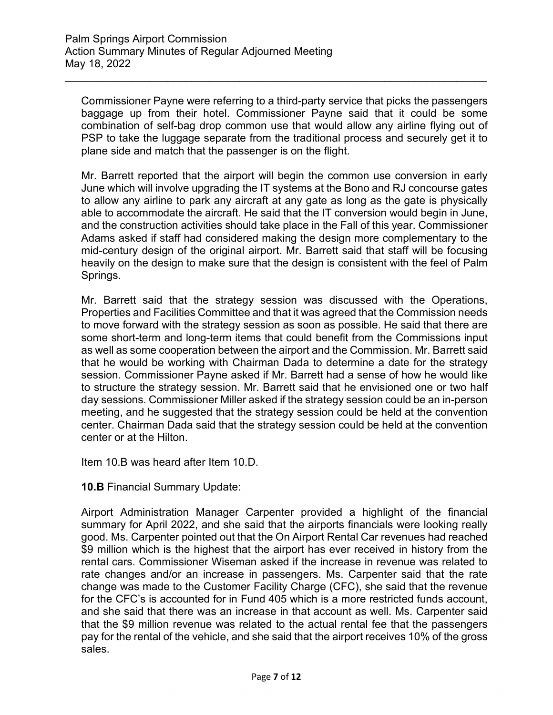Commissioner Payne were referring to a third-party service that picks the passengers baggage up from their hotel. Commissioner Payne said that it could be some combination of self-bag drop common use that would allow any airline flying out of PSP to take the luggage separate from the traditional process and securely get it to plane side and match that the passenger is on the flight.

\_\_\_\_\_\_\_\_\_\_\_\_\_\_\_\_\_\_\_\_\_\_\_\_\_\_\_\_\_\_\_\_\_\_\_\_\_\_\_\_\_\_\_\_\_\_\_\_\_\_\_\_\_\_\_\_\_\_\_\_\_\_\_\_\_\_\_\_\_\_

Mr. Barrett reported that the airport will begin the common use conversion in early June which will involve upgrading the IT systems at the Bono and RJ concourse gates to allow any airline to park any aircraft at any gate as long as the gate is physically able to accommodate the aircraft. He said that the IT conversion would begin in June, and the construction activities should take place in the Fall of this year. Commissioner Adams asked if staff had considered making the design more complementary to the mid-century design of the original airport. Mr. Barrett said that staff will be focusing heavily on the design to make sure that the design is consistent with the feel of Palm Springs.

Mr. Barrett said that the strategy session was discussed with the Operations, Properties and Facilities Committee and that it was agreed that the Commission needs to move forward with the strategy session as soon as possible. He said that there are some short-term and long-term items that could benefit from the Commissions input as well as some cooperation between the airport and the Commission. Mr. Barrett said that he would be working with Chairman Dada to determine a date for the strategy session. Commissioner Payne asked if Mr. Barrett had a sense of how he would like to structure the strategy session. Mr. Barrett said that he envisioned one or two half day sessions. Commissioner Miller asked if the strategy session could be an in-person meeting, and he suggested that the strategy session could be held at the convention center. Chairman Dada said that the strategy session could be held at the convention center or at the Hilton.

Item 10.B was heard after Item 10.D.

**10.B** Financial Summary Update:

Airport Administration Manager Carpenter provided a highlight of the financial summary for April 2022, and she said that the airports financials were looking really good. Ms. Carpenter pointed out that the On Airport Rental Car revenues had reached \$9 million which is the highest that the airport has ever received in history from the rental cars. Commissioner Wiseman asked if the increase in revenue was related to rate changes and/or an increase in passengers. Ms. Carpenter said that the rate change was made to the Customer Facility Charge (CFC), she said that the revenue for the CFC's is accounted for in Fund 405 which is a more restricted funds account, and she said that there was an increase in that account as well. Ms. Carpenter said that the \$9 million revenue was related to the actual rental fee that the passengers pay for the rental of the vehicle, and she said that the airport receives 10% of the gross sales.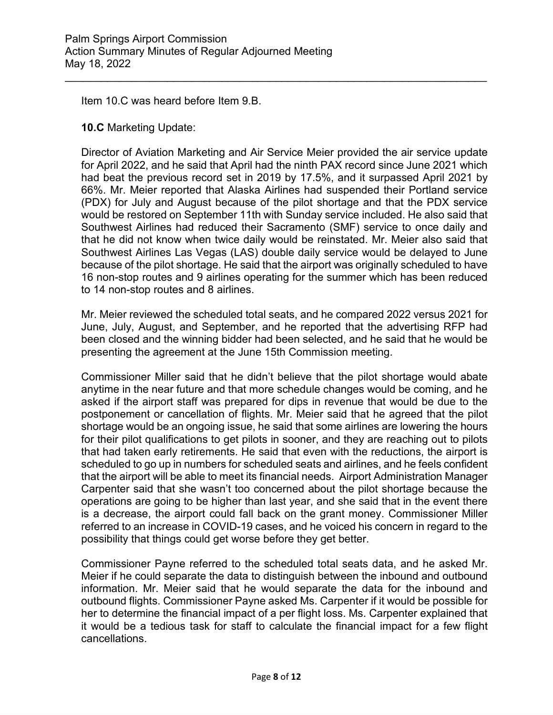Item 10.C was heard before Item 9.B.

**10.C** Marketing Update:

Director of Aviation Marketing and Air Service Meier provided the air service update for April 2022, and he said that April had the ninth PAX record since June 2021 which had beat the previous record set in 2019 by 17.5%, and it surpassed April 2021 by 66%. Mr. Meier reported that Alaska Airlines had suspended their Portland service (PDX) for July and August because of the pilot shortage and that the PDX service would be restored on September 11th with Sunday service included. He also said that Southwest Airlines had reduced their Sacramento (SMF) service to once daily and that he did not know when twice daily would be reinstated. Mr. Meier also said that Southwest Airlines Las Vegas (LAS) double daily service would be delayed to June because of the pilot shortage. He said that the airport was originally scheduled to have 16 non-stop routes and 9 airlines operating for the summer which has been reduced to 14 non-stop routes and 8 airlines.

\_\_\_\_\_\_\_\_\_\_\_\_\_\_\_\_\_\_\_\_\_\_\_\_\_\_\_\_\_\_\_\_\_\_\_\_\_\_\_\_\_\_\_\_\_\_\_\_\_\_\_\_\_\_\_\_\_\_\_\_\_\_\_\_\_\_\_\_\_\_

Mr. Meier reviewed the scheduled total seats, and he compared 2022 versus 2021 for June, July, August, and September, and he reported that the advertising RFP had been closed and the winning bidder had been selected, and he said that he would be presenting the agreement at the June 15th Commission meeting.

Commissioner Miller said that he didn't believe that the pilot shortage would abate anytime in the near future and that more schedule changes would be coming, and he asked if the airport staff was prepared for dips in revenue that would be due to the postponement or cancellation of flights. Mr. Meier said that he agreed that the pilot shortage would be an ongoing issue, he said that some airlines are lowering the hours for their pilot qualifications to get pilots in sooner, and they are reaching out to pilots that had taken early retirements. He said that even with the reductions, the airport is scheduled to go up in numbers for scheduled seats and airlines, and he feels confident that the airport will be able to meet its financial needs. Airport Administration Manager Carpenter said that she wasn't too concerned about the pilot shortage because the operations are going to be higher than last year, and she said that in the event there is a decrease, the airport could fall back on the grant money. Commissioner Miller referred to an increase in COVID-19 cases, and he voiced his concern in regard to the possibility that things could get worse before they get better.

Commissioner Payne referred to the scheduled total seats data, and he asked Mr. Meier if he could separate the data to distinguish between the inbound and outbound information. Mr. Meier said that he would separate the data for the inbound and outbound flights. Commissioner Payne asked Ms. Carpenter if it would be possible for her to determine the financial impact of a per flight loss. Ms. Carpenter explained that it would be a tedious task for staff to calculate the financial impact for a few flight cancellations.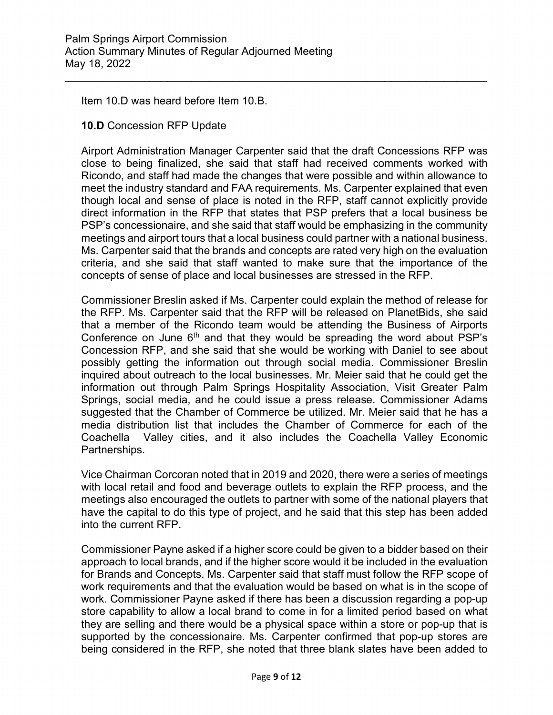Item 10.D was heard before Item 10.B.

#### **10.D** Concession RFP Update

Airport Administration Manager Carpenter said that the draft Concessions RFP was close to being finalized, she said that staff had received comments worked with Ricondo, and staff had made the changes that were possible and within allowance to meet the industry standard and FAA requirements. Ms. Carpenter explained that even though local and sense of place is noted in the RFP, staff cannot explicitly provide direct information in the RFP that states that PSP prefers that a local business be PSP's concessionaire, and she said that staff would be emphasizing in the community meetings and airport tours that a local business could partner with a national business. Ms. Carpenter said that the brands and concepts are rated very high on the evaluation criteria, and she said that staff wanted to make sure that the importance of the concepts of sense of place and local businesses are stressed in the RFP.

\_\_\_\_\_\_\_\_\_\_\_\_\_\_\_\_\_\_\_\_\_\_\_\_\_\_\_\_\_\_\_\_\_\_\_\_\_\_\_\_\_\_\_\_\_\_\_\_\_\_\_\_\_\_\_\_\_\_\_\_\_\_\_\_\_\_\_\_\_\_

Commissioner Breslin asked if Ms. Carpenter could explain the method of release for the RFP. Ms. Carpenter said that the RFP will be released on PlanetBids, she said that a member of the Ricondo team would be attending the Business of Airports Conference on June  $6<sup>th</sup>$  and that they would be spreading the word about PSP's Concession RFP, and she said that she would be working with Daniel to see about possibly getting the information out through social media. Commissioner Breslin inquired about outreach to the local businesses. Mr. Meier said that he could get the information out through Palm Springs Hospitality Association, Visit Greater Palm Springs, social media, and he could issue a press release. Commissioner Adams suggested that the Chamber of Commerce be utilized. Mr. Meier said that he has a media distribution list that includes the Chamber of Commerce for each of the Coachella Valley cities, and it also includes the Coachella Valley Economic Partnerships.

Vice Chairman Corcoran noted that in 2019 and 2020, there were a series of meetings with local retail and food and beverage outlets to explain the RFP process, and the meetings also encouraged the outlets to partner with some of the national players that have the capital to do this type of project, and he said that this step has been added into the current RFP.

Commissioner Payne asked if a higher score could be given to a bidder based on their approach to local brands, and if the higher score would it be included in the evaluation for Brands and Concepts. Ms. Carpenter said that staff must follow the RFP scope of work requirements and that the evaluation would be based on what is in the scope of work. Commissioner Payne asked if there has been a discussion regarding a pop-up store capability to allow a local brand to come in for a limited period based on what they are selling and there would be a physical space within a store or pop-up that is supported by the concessionaire. Ms. Carpenter confirmed that pop-up stores are being considered in the RFP, she noted that three blank slates have been added to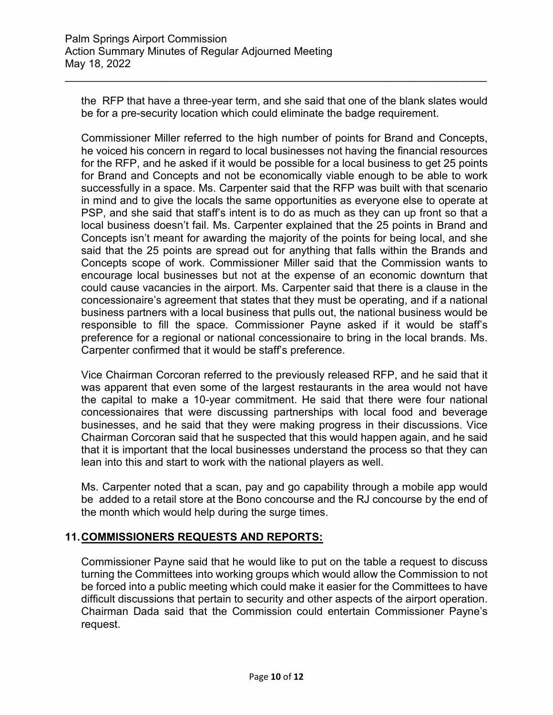the RFP that have a three-year term, and she said that one of the blank slates would be for a pre-security location which could eliminate the badge requirement.

\_\_\_\_\_\_\_\_\_\_\_\_\_\_\_\_\_\_\_\_\_\_\_\_\_\_\_\_\_\_\_\_\_\_\_\_\_\_\_\_\_\_\_\_\_\_\_\_\_\_\_\_\_\_\_\_\_\_\_\_\_\_\_\_\_\_\_\_\_\_

Commissioner Miller referred to the high number of points for Brand and Concepts, he voiced his concern in regard to local businesses not having the financial resources for the RFP, and he asked if it would be possible for a local business to get 25 points for Brand and Concepts and not be economically viable enough to be able to work successfully in a space. Ms. Carpenter said that the RFP was built with that scenario in mind and to give the locals the same opportunities as everyone else to operate at PSP, and she said that staff's intent is to do as much as they can up front so that a local business doesn't fail. Ms. Carpenter explained that the 25 points in Brand and Concepts isn't meant for awarding the majority of the points for being local, and she said that the 25 points are spread out for anything that falls within the Brands and Concepts scope of work. Commissioner Miller said that the Commission wants to encourage local businesses but not at the expense of an economic downturn that could cause vacancies in the airport. Ms. Carpenter said that there is a clause in the concessionaire's agreement that states that they must be operating, and if a national business partners with a local business that pulls out, the national business would be responsible to fill the space. Commissioner Payne asked if it would be staff's preference for a regional or national concessionaire to bring in the local brands. Ms. Carpenter confirmed that it would be staff's preference.

Vice Chairman Corcoran referred to the previously released RFP, and he said that it was apparent that even some of the largest restaurants in the area would not have the capital to make a 10-year commitment. He said that there were four national concessionaires that were discussing partnerships with local food and beverage businesses, and he said that they were making progress in their discussions. Vice Chairman Corcoran said that he suspected that this would happen again, and he said that it is important that the local businesses understand the process so that they can lean into this and start to work with the national players as well.

Ms. Carpenter noted that a scan, pay and go capability through a mobile app would be added to a retail store at the Bono concourse and the RJ concourse by the end of the month which would help during the surge times.

#### **11.COMMISSIONERS REQUESTS AND REPORTS:**

Commissioner Payne said that he would like to put on the table a request to discuss turning the Committees into working groups which would allow the Commission to not be forced into a public meeting which could make it easier for the Committees to have difficult discussions that pertain to security and other aspects of the airport operation. Chairman Dada said that the Commission could entertain Commissioner Payne's request.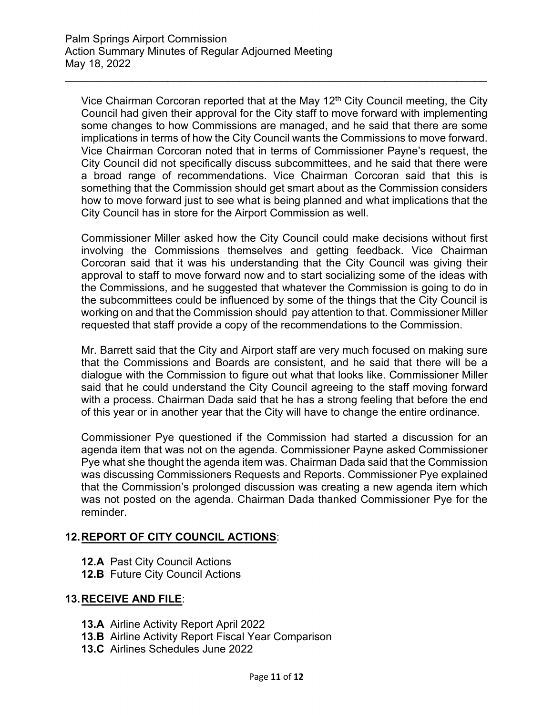Vice Chairman Corcoran reported that at the May  $12<sup>th</sup>$  City Council meeting, the City Council had given their approval for the City staff to move forward with implementing some changes to how Commissions are managed, and he said that there are some implications in terms of how the City Council wants the Commissions to move forward. Vice Chairman Corcoran noted that in terms of Commissioner Payne's request, the City Council did not specifically discuss subcommittees, and he said that there were a broad range of recommendations. Vice Chairman Corcoran said that this is something that the Commission should get smart about as the Commission considers how to move forward just to see what is being planned and what implications that the City Council has in store for the Airport Commission as well.

\_\_\_\_\_\_\_\_\_\_\_\_\_\_\_\_\_\_\_\_\_\_\_\_\_\_\_\_\_\_\_\_\_\_\_\_\_\_\_\_\_\_\_\_\_\_\_\_\_\_\_\_\_\_\_\_\_\_\_\_\_\_\_\_\_\_\_\_\_\_

Commissioner Miller asked how the City Council could make decisions without first involving the Commissions themselves and getting feedback. Vice Chairman Corcoran said that it was his understanding that the City Council was giving their approval to staff to move forward now and to start socializing some of the ideas with the Commissions, and he suggested that whatever the Commission is going to do in the subcommittees could be influenced by some of the things that the City Council is working on and that the Commission should pay attention to that. Commissioner Miller requested that staff provide a copy of the recommendations to the Commission.

Mr. Barrett said that the City and Airport staff are very much focused on making sure that the Commissions and Boards are consistent, and he said that there will be a dialogue with the Commission to figure out what that looks like. Commissioner Miller said that he could understand the City Council agreeing to the staff moving forward with a process. Chairman Dada said that he has a strong feeling that before the end of this year or in another year that the City will have to change the entire ordinance.

Commissioner Pye questioned if the Commission had started a discussion for an agenda item that was not on the agenda. Commissioner Payne asked Commissioner Pye what she thought the agenda item was. Chairman Dada said that the Commission was discussing Commissioners Requests and Reports. Commissioner Pye explained that the Commission's prolonged discussion was creating a new agenda item which was not posted on the agenda. Chairman Dada thanked Commissioner Pye for the reminder.

## **12. REPORT OF CITY COUNCIL ACTIONS**:

- **12.A** Past City Council Actions
- **12.B** Future City Council Actions

#### **13.RECEIVE AND FILE**:

- **13.A** Airline Activity Report April 2022
- **13.B** Airline Activity Report Fiscal Year Comparison
- **13.C** Airlines Schedules June 2022